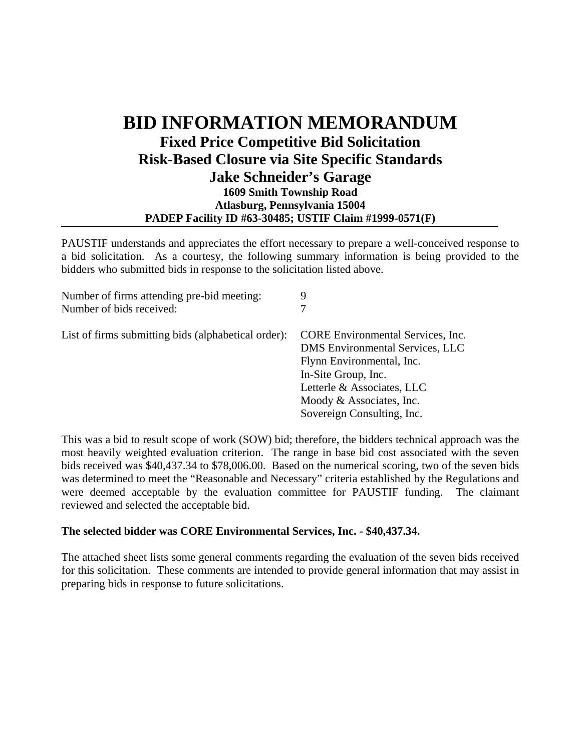## **BID INFORMATION MEMORANDUM Fixed Price Competitive Bid Solicitation Risk-Based Closure via Site Specific Standards Jake Schneider's Garage 1609 Smith Township Road Atlasburg, Pennsylvania 15004 PADEP Facility ID #63-30485; USTIF Claim #1999-0571(F)**

PAUSTIF understands and appreciates the effort necessary to prepare a well-conceived response to a bid solicitation. As a courtesy, the following summary information is being provided to the bidders who submitted bids in response to the solicitation listed above.

| Number of firms attending pre-bid meeting:          | 9                                                                                                                                                                                                                       |
|-----------------------------------------------------|-------------------------------------------------------------------------------------------------------------------------------------------------------------------------------------------------------------------------|
| Number of bids received:                            | 7                                                                                                                                                                                                                       |
| List of firms submitting bids (alphabetical order): | <b>CORE Environmental Services, Inc.</b><br>DMS Environmental Services, LLC<br>Flynn Environmental, Inc.<br>In-Site Group, Inc.<br>Letterle & Associates, LLC<br>Moody & Associates, Inc.<br>Sovereign Consulting, Inc. |

This was a bid to result scope of work (SOW) bid; therefore, the bidders technical approach was the most heavily weighted evaluation criterion. The range in base bid cost associated with the seven bids received was \$40,437.34 to \$78,006.00. Based on the numerical scoring, two of the seven bids was determined to meet the "Reasonable and Necessary" criteria established by the Regulations and were deemed acceptable by the evaluation committee for PAUSTIF funding. The claimant reviewed and selected the acceptable bid.

## **The selected bidder was CORE Environmental Services, Inc. - \$40,437.34.**

The attached sheet lists some general comments regarding the evaluation of the seven bids received for this solicitation. These comments are intended to provide general information that may assist in preparing bids in response to future solicitations.